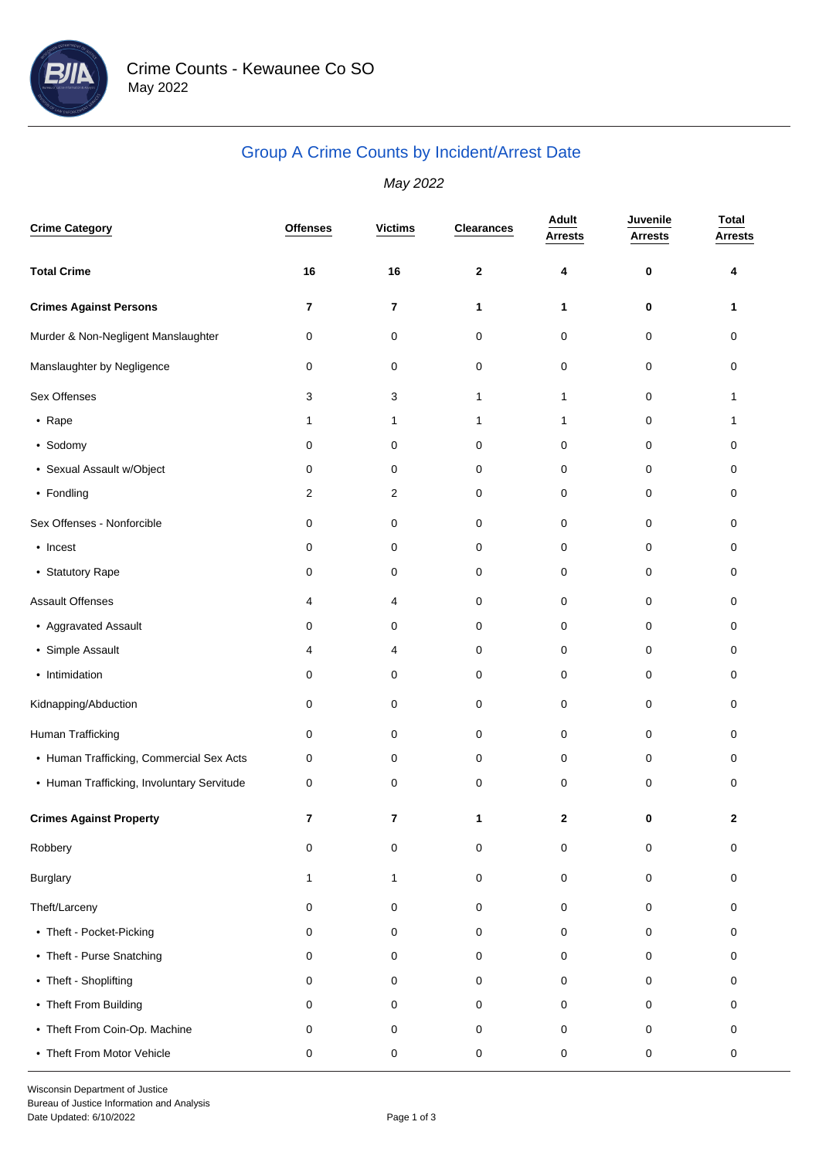

## Group A Crime Counts by Incident/Arrest Date

May 2022

| <b>Crime Category</b>                      | <b>Offenses</b> | <b>Victims</b>          | <b>Clearances</b> | Adult<br>Arrests | Juvenile<br><b>Arrests</b> | <b>Total</b><br><b>Arrests</b> |
|--------------------------------------------|-----------------|-------------------------|-------------------|------------------|----------------------------|--------------------------------|
| <b>Total Crime</b>                         | 16              | 16                      | $\boldsymbol{2}$  | 4                | 0                          | 4                              |
| <b>Crimes Against Persons</b>              | 7               | $\overline{\mathbf{r}}$ | 1                 | 1                | 0                          | 1                              |
| Murder & Non-Negligent Manslaughter        | 0               | 0                       | 0                 | 0                | 0                          | 0                              |
| Manslaughter by Negligence                 | 0               | 0                       | 0                 | $\pmb{0}$        | $\pmb{0}$                  | 0                              |
| Sex Offenses                               | 3               | 3                       | 1                 | 1                | 0                          | 1                              |
| • Rape                                     | 1               | 1                       | 1                 | 1                | 0                          | 1                              |
| • Sodomy                                   | 0               | 0                       | 0                 | 0                | 0                          | 0                              |
| • Sexual Assault w/Object                  | 0               | 0                       | 0                 | 0                | 0                          | 0                              |
| • Fondling                                 | 2               | 2                       | 0                 | 0                | 0                          | 0                              |
| Sex Offenses - Nonforcible                 | 0               | 0                       | 0                 | 0                | $\pmb{0}$                  | 0                              |
| • Incest                                   | 0               | 0                       | 0                 | 0                | 0                          | 0                              |
| • Statutory Rape                           | 0               | 0                       | 0                 | 0                | 0                          | 0                              |
| <b>Assault Offenses</b>                    | 4               | 4                       | 0                 | 0                | 0                          | 0                              |
| • Aggravated Assault                       | 0               | 0                       | 0                 | 0                | 0                          | 0                              |
| • Simple Assault                           | 4               | 4                       | 0                 | 0                | 0                          | 0                              |
| • Intimidation                             | 0               | 0                       | 0                 | 0                | 0                          | 0                              |
| Kidnapping/Abduction                       | 0               | 0                       | 0                 | 0                | 0                          | 0                              |
| Human Trafficking                          | 0               | 0                       | 0                 | 0                | 0                          | 0                              |
| • Human Trafficking, Commercial Sex Acts   | 0               | 0                       | 0                 | 0                | 0                          | 0                              |
| • Human Trafficking, Involuntary Servitude | 0               | 0                       | 0                 | 0                | 0                          | 0                              |
| <b>Crimes Against Property</b>             | 7               | $\overline{\mathbf{r}}$ | 1                 | 2                | 0                          | 2                              |
| Robbery                                    | 0               | $\pmb{0}$               | 0                 | 0                | $\pmb{0}$                  | $\mathbf 0$                    |
| <b>Burglary</b>                            | 1               | 1                       | 0                 | 0                | 0                          | 0                              |
| Theft/Larceny                              | 0               | 0                       | 0                 | 0                | 0                          | 0                              |
| • Theft - Pocket-Picking                   | 0               | 0                       | 0                 | 0                | 0                          | 0                              |
| • Theft - Purse Snatching                  | 0               | 0                       | 0                 | 0                | 0                          | 0                              |
| • Theft - Shoplifting                      | 0               | 0                       | 0                 | 0                | 0                          | 0                              |
| • Theft From Building                      | 0               | 0                       | 0                 | 0                | 0                          | 0                              |
| • Theft From Coin-Op. Machine              | 0               | 0                       | 0                 | 0                | 0                          | 0                              |
| • Theft From Motor Vehicle                 | 0               | 0                       | 0                 | 0                | 0                          | 0                              |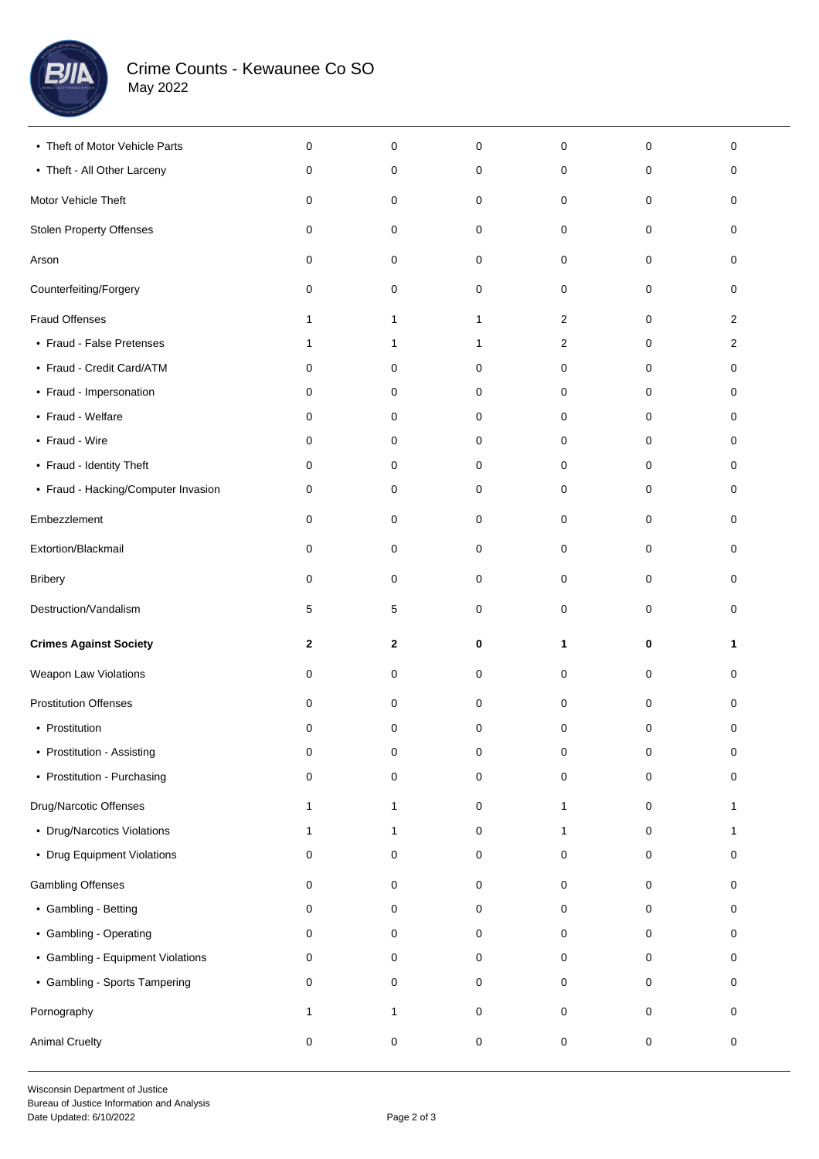

| • Theft of Motor Vehicle Parts      | $\mathbf 0$  | 0            | 0           | 0              | 0 | 0              |  |
|-------------------------------------|--------------|--------------|-------------|----------------|---|----------------|--|
| • Theft - All Other Larceny         | 0            | 0            | 0           | 0              | 0 | 0              |  |
| Motor Vehicle Theft                 | 0            | 0            | 0           | 0              | 0 | 0              |  |
| <b>Stolen Property Offenses</b>     | 0            | 0            | 0           | 0              | 0 | 0              |  |
| Arson                               | 0            | 0            | 0           | 0              | 0 | 0              |  |
| Counterfeiting/Forgery              | 0            | 0            | 0           | 0              | 0 | 0              |  |
| <b>Fraud Offenses</b>               | 1            | $\mathbf{1}$ | 1           | $\overline{c}$ | 0 | $\overline{c}$ |  |
| • Fraud - False Pretenses           | 1            | $\mathbf{1}$ | 1           | 2              | 0 | 2              |  |
| • Fraud - Credit Card/ATM           | 0            | 0            | 0           | 0              | 0 | 0              |  |
| • Fraud - Impersonation             | 0            | 0            | 0           | 0              | 0 | 0              |  |
| • Fraud - Welfare                   | 0            | 0            | 0           | 0              | 0 | 0              |  |
| • Fraud - Wire                      | 0            | 0            | 0           | 0              | 0 | 0              |  |
| • Fraud - Identity Theft            | 0            | 0            | 0           | 0              | 0 | 0              |  |
| • Fraud - Hacking/Computer Invasion | 0            | 0            | 0           | 0              | 0 | 0              |  |
| Embezzlement                        | 0            | 0            | 0           | 0              | 0 | 0              |  |
| Extortion/Blackmail                 | 0            | 0            | 0           | 0              | 0 | 0              |  |
| <b>Bribery</b>                      | 0            | 0            | 0           | 0              | 0 | 0              |  |
| Destruction/Vandalism               | 5            | 5            | 0           | 0              | 0 | 0              |  |
|                                     |              |              |             |                |   |                |  |
| <b>Crimes Against Society</b>       | $\mathbf{2}$ | 2            | 0           | 1              | 0 | 1              |  |
| Weapon Law Violations               | 0            | 0            | 0           | 0              | 0 | 0              |  |
| <b>Prostitution Offenses</b>        | 0            | 0            | 0           | 0              | 0 | 0              |  |
| • Prostitution                      | 0            | 0            | 0           | 0              | 0 | 0              |  |
| • Prostitution - Assisting          | 0            | 0            | 0           | 0              | 0 | 0              |  |
| • Prostitution - Purchasing         | 0            | 0            | 0           | 0              | 0 | 0              |  |
| Drug/Narcotic Offenses              | $\mathbf{1}$ | 1            | $\mathsf 0$ | 1              | 0 | $\mathbf{1}$   |  |
| • Drug/Narcotics Violations         | $\mathbf{1}$ | 1            | $\mathbf 0$ | 1              | 0 | 1              |  |
| • Drug Equipment Violations         | 0            | 0            | 0           | 0              | 0 | 0              |  |
| Gambling Offenses                   | 0            | 0            | 0           | 0              | 0 | 0              |  |
| • Gambling - Betting                | 0            | 0            | 0           | 0              | 0 | 0              |  |
| • Gambling - Operating              | 0            | 0            | 0           | 0              | 0 | 0              |  |
| • Gambling - Equipment Violations   | 0            | 0            | 0           | 0              | 0 | 0              |  |
| • Gambling - Sports Tampering       | 0            | 0            | 0           | 0              | 0 | 0              |  |
| Pornography                         | 1            | 1            | $\mathsf 0$ | 0              | 0 | 0              |  |
| <b>Animal Cruelty</b>               | $\mathbf 0$  | 0            | $\pmb{0}$   | 0              | 0 | 0              |  |